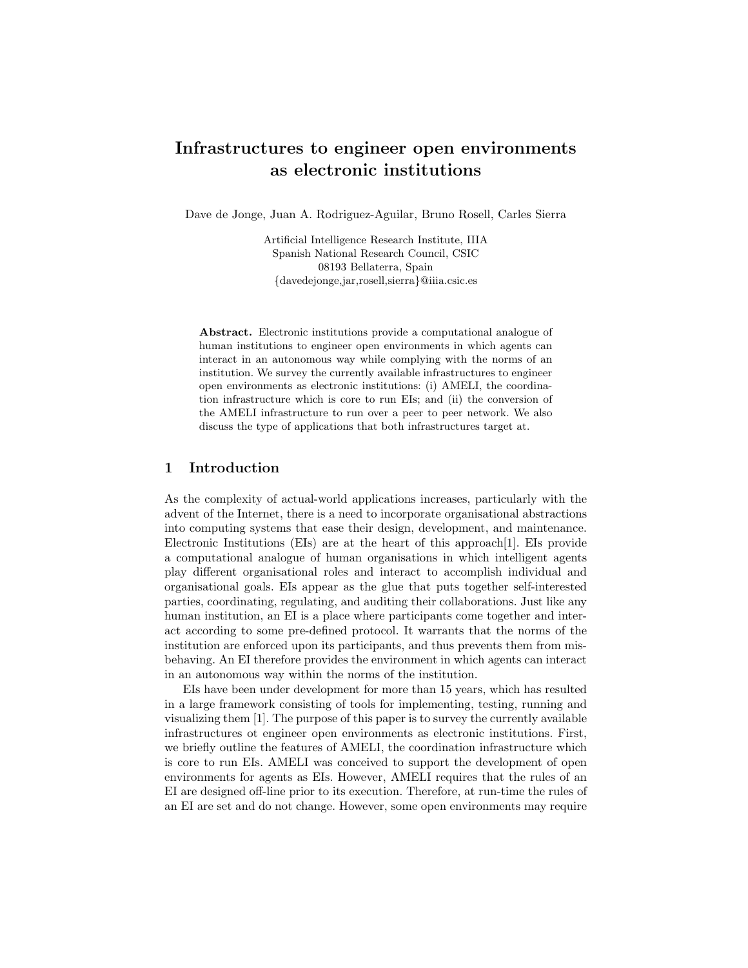# Infrastructures to engineer open environments as electronic institutions

Dave de Jonge, Juan A. Rodriguez-Aguilar, Bruno Rosell, Carles Sierra

Artificial Intelligence Research Institute, IIIA Spanish National Research Council, CSIC 08193 Bellaterra, Spain {davedejonge,jar,rosell,sierra}@iiia.csic.es

Abstract. Electronic institutions provide a computational analogue of human institutions to engineer open environments in which agents can interact in an autonomous way while complying with the norms of an institution. We survey the currently available infrastructures to engineer open environments as electronic institutions: (i) AMELI, the coordination infrastructure which is core to run EIs; and (ii) the conversion of the AMELI infrastructure to run over a peer to peer network. We also discuss the type of applications that both infrastructures target at.

### 1 Introduction

As the complexity of actual-world applications increases, particularly with the advent of the Internet, there is a need to incorporate organisational abstractions into computing systems that ease their design, development, and maintenance. Electronic Institutions (EIs) are at the heart of this approach[1]. EIs provide a computational analogue of human organisations in which intelligent agents play different organisational roles and interact to accomplish individual and organisational goals. EIs appear as the glue that puts together self-interested parties, coordinating, regulating, and auditing their collaborations. Just like any human institution, an EI is a place where participants come together and interact according to some pre-defined protocol. It warrants that the norms of the institution are enforced upon its participants, and thus prevents them from misbehaving. An EI therefore provides the environment in which agents can interact in an autonomous way within the norms of the institution.

EIs have been under development for more than 15 years, which has resulted in a large framework consisting of tools for implementing, testing, running and visualizing them [1]. The purpose of this paper is to survey the currently available infrastructures ot engineer open environments as electronic institutions. First, we briefly outline the features of AMELI, the coordination infrastructure which is core to run EIs. AMELI was conceived to support the development of open environments for agents as EIs. However, AMELI requires that the rules of an EI are designed off-line prior to its execution. Therefore, at run-time the rules of an EI are set and do not change. However, some open environments may require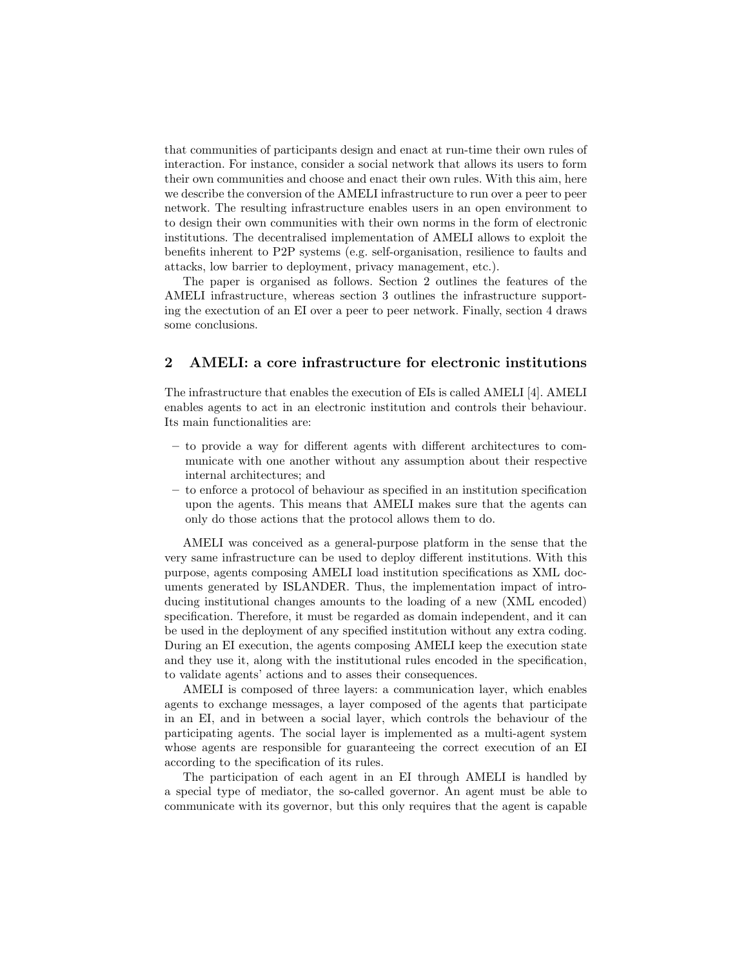that communities of participants design and enact at run-time their own rules of interaction. For instance, consider a social network that allows its users to form their own communities and choose and enact their own rules. With this aim, here we describe the conversion of the AMELI infrastructure to run over a peer to peer network. The resulting infrastructure enables users in an open environment to to design their own communities with their own norms in the form of electronic institutions. The decentralised implementation of AMELI allows to exploit the benefits inherent to P2P systems (e.g. self-organisation, resilience to faults and attacks, low barrier to deployment, privacy management, etc.).

The paper is organised as follows. Section 2 outlines the features of the AMELI infrastructure, whereas section 3 outlines the infrastructure supporting the exectution of an EI over a peer to peer network. Finally, section 4 draws some conclusions.

# 2 AMELI: a core infrastructure for electronic institutions

The infrastructure that enables the execution of EIs is called AMELI [4]. AMELI enables agents to act in an electronic institution and controls their behaviour. Its main functionalities are:

- to provide a way for different agents with different architectures to communicate with one another without any assumption about their respective internal architectures; and
- to enforce a protocol of behaviour as specified in an institution specification upon the agents. This means that AMELI makes sure that the agents can only do those actions that the protocol allows them to do.

AMELI was conceived as a general-purpose platform in the sense that the very same infrastructure can be used to deploy different institutions. With this purpose, agents composing AMELI load institution specifications as XML documents generated by ISLANDER. Thus, the implementation impact of introducing institutional changes amounts to the loading of a new (XML encoded) specification. Therefore, it must be regarded as domain independent, and it can be used in the deployment of any specified institution without any extra coding. During an EI execution, the agents composing AMELI keep the execution state and they use it, along with the institutional rules encoded in the specification, to validate agents' actions and to asses their consequences.

AMELI is composed of three layers: a communication layer, which enables agents to exchange messages, a layer composed of the agents that participate in an EI, and in between a social layer, which controls the behaviour of the participating agents. The social layer is implemented as a multi-agent system whose agents are responsible for guaranteeing the correct execution of an EI according to the specification of its rules.

The participation of each agent in an EI through AMELI is handled by a special type of mediator, the so-called governor. An agent must be able to communicate with its governor, but this only requires that the agent is capable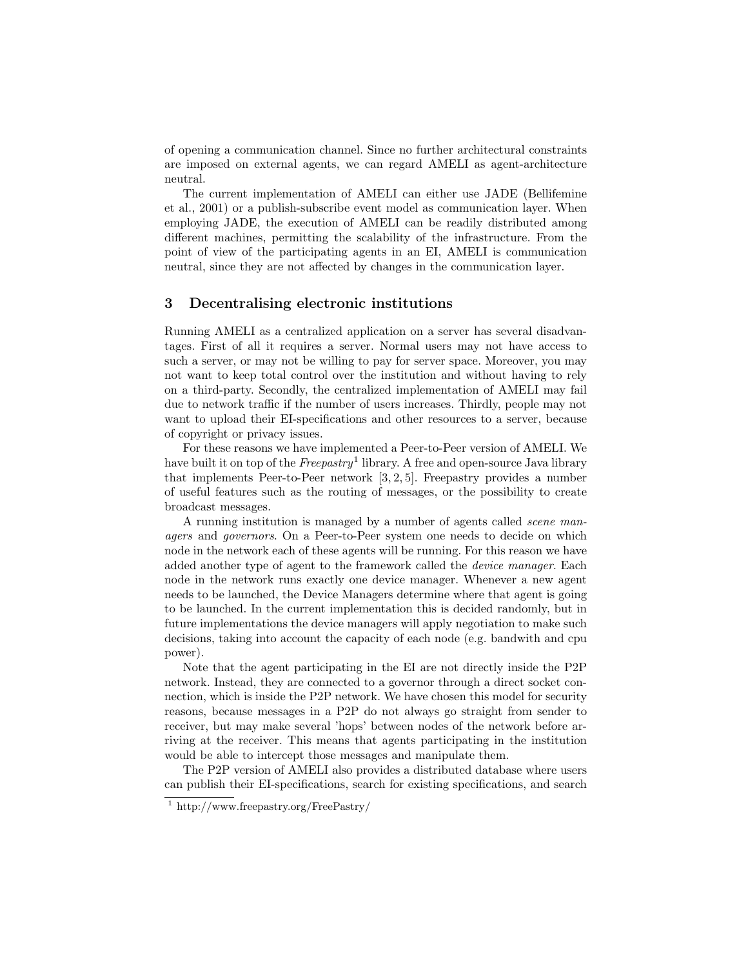of opening a communication channel. Since no further architectural constraints are imposed on external agents, we can regard AMELI as agent-architecture neutral.

The current implementation of AMELI can either use JADE (Bellifemine et al., 2001) or a publish-subscribe event model as communication layer. When employing JADE, the execution of AMELI can be readily distributed among different machines, permitting the scalability of the infrastructure. From the point of view of the participating agents in an EI, AMELI is communication neutral, since they are not affected by changes in the communication layer.

#### 3 Decentralising electronic institutions

Running AMELI as a centralized application on a server has several disadvantages. First of all it requires a server. Normal users may not have access to such a server, or may not be willing to pay for server space. Moreover, you may not want to keep total control over the institution and without having to rely on a third-party. Secondly, the centralized implementation of AMELI may fail due to network traffic if the number of users increases. Thirdly, people may not want to upload their EI-specifications and other resources to a server, because of copyright or privacy issues.

For these reasons we have implemented a Peer-to-Peer version of AMELI. We have built it on top of the  $Freepastry^1$  library. A free and open-source Java library that implements Peer-to-Peer network [3, 2, 5]. Freepastry provides a number of useful features such as the routing of messages, or the possibility to create broadcast messages.

A running institution is managed by a number of agents called scene managers and governors. On a Peer-to-Peer system one needs to decide on which node in the network each of these agents will be running. For this reason we have added another type of agent to the framework called the device manager. Each node in the network runs exactly one device manager. Whenever a new agent needs to be launched, the Device Managers determine where that agent is going to be launched. In the current implementation this is decided randomly, but in future implementations the device managers will apply negotiation to make such decisions, taking into account the capacity of each node (e.g. bandwith and cpu power).

Note that the agent participating in the EI are not directly inside the P2P network. Instead, they are connected to a governor through a direct socket connection, which is inside the P2P network. We have chosen this model for security reasons, because messages in a P2P do not always go straight from sender to receiver, but may make several 'hops' between nodes of the network before arriving at the receiver. This means that agents participating in the institution would be able to intercept those messages and manipulate them.

The P2P version of AMELI also provides a distributed database where users can publish their EI-specifications, search for existing specifications, and search

<sup>1</sup> http://www.freepastry.org/FreePastry/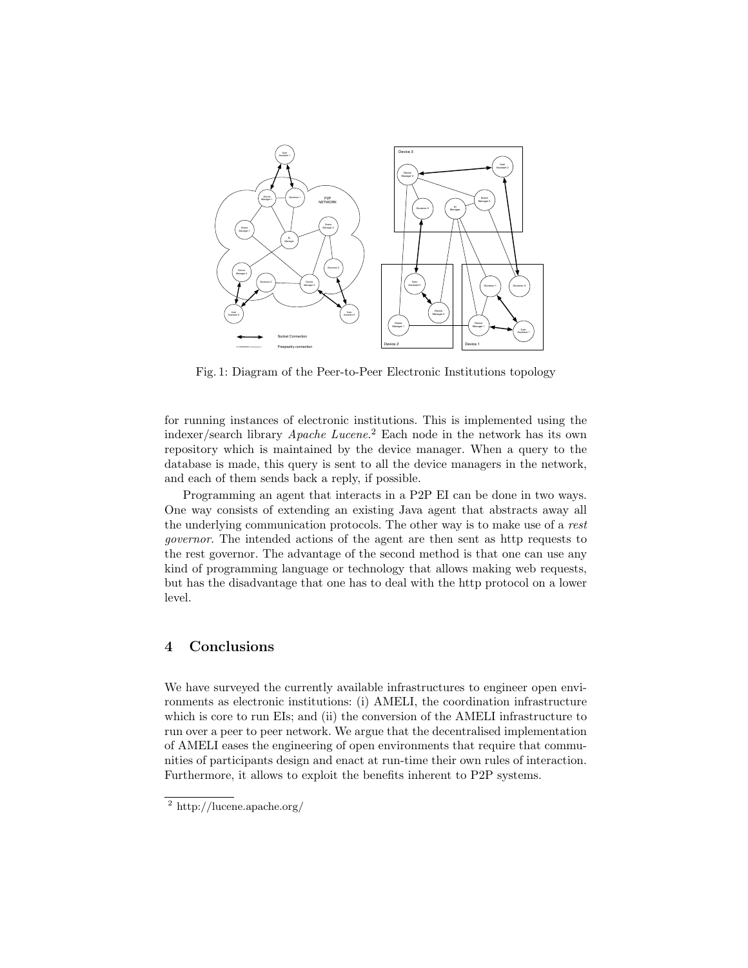

Fig. 1: Diagram of the Peer-to-Peer Electronic Institutions topology

for running instances of electronic institutions. This is implemented using the indexer/search library Apache Lucene. <sup>2</sup> Each node in the network has its own repository which is maintained by the device manager. When a query to the database is made, this query is sent to all the device managers in the network, and each of them sends back a reply, if possible.

Programming an agent that interacts in a P2P EI can be done in two ways. One way consists of extending an existing Java agent that abstracts away all the underlying communication protocols. The other way is to make use of a rest governor. The intended actions of the agent are then sent as http requests to the rest governor. The advantage of the second method is that one can use any kind of programming language or technology that allows making web requests, but has the disadvantage that one has to deal with the http protocol on a lower level.

# 4 Conclusions

We have surveyed the currently available infrastructures to engineer open environments as electronic institutions: (i) AMELI, the coordination infrastructure which is core to run EIs; and (ii) the conversion of the AMELI infrastructure to run over a peer to peer network. We argue that the decentralised implementation of AMELI eases the engineering of open environments that require that communities of participants design and enact at run-time their own rules of interaction. Furthermore, it allows to exploit the benefits inherent to P2P systems.

<sup>2</sup> http://lucene.apache.org/